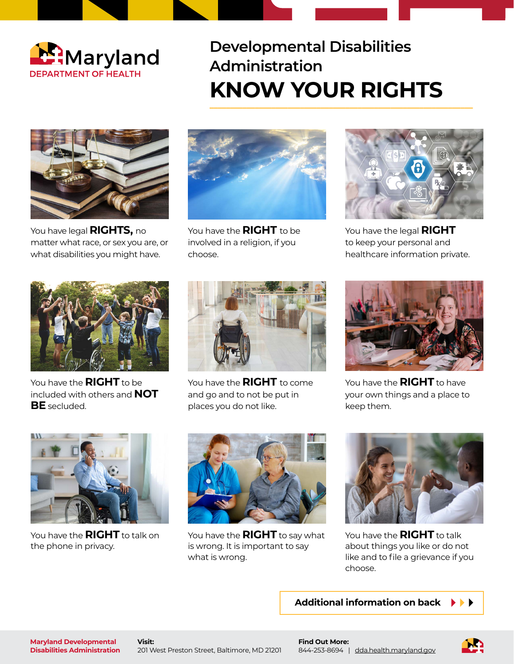

## **Developmental Disabilities Administration** KNOW YOUR RIGHTS



You have legal **RIGHTS,** no matter what race, or sex you are, or what disabilities you might have.



You have the **RIGHT** to be involved in a religion, if you choose.



You have the legal **RIGHT** to keep your personal and healthcare information private.



You have the **RIGHT** to be included with others and **NOT BE** secluded.



You have the **RIGHT** to come and go and to not be put in places you do not like.



You have the **RIGHT** to have your own things and a place to keep them.

![](_page_0_Picture_14.jpeg)

You have the **RIGHT** to talk on the phone in privacy.

![](_page_0_Picture_16.jpeg)

You have the **RIGHT** to say what is wrong. It is important to say what is wrong.

![](_page_0_Picture_18.jpeg)

You have the **RIGHT** to talk about things you like or do not like and to file a grievance if you choose.

**Additional information on back**

**Visit:** 201 West Preston Street, Baltimore, MD 21201

![](_page_0_Picture_24.jpeg)